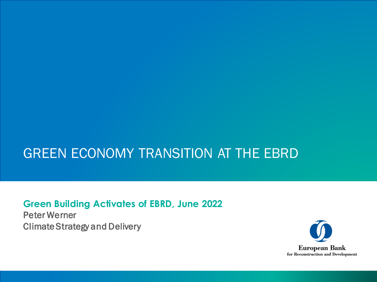# GREEN ECONOMY TRANSITION AT THE EBRD

**Green Building Activates of EBRD, June 2022**

Peter Werner Climate Strategy and Delivery

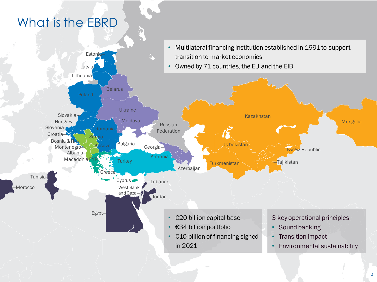# What is the EBRD

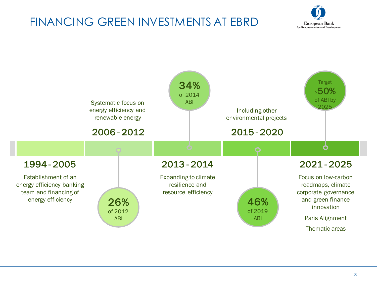## FINANCING GREEN INVESTMENTS AT EBRD



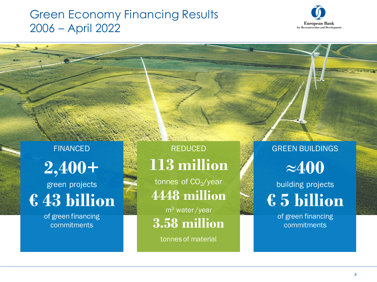### Green Economy Financing Results 2006 – April 2022



FINANCED **2,400+** green projects

**€ 43 billion** 

of green financing commitments

REDUCED **113 million**

tonnes of  $CO<sub>2</sub>/year$ **4448 million**

m<sup>3</sup> water /year **3.58 million**

tonnes of material

GREEN BUILDINGS **≈400**

building projects **€ 5 billion** 

> of green financing commitments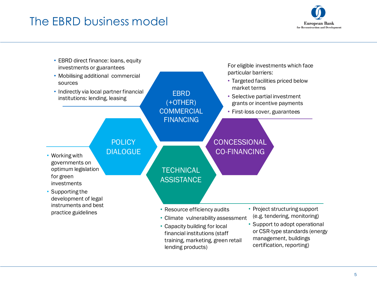### The EBRD business model



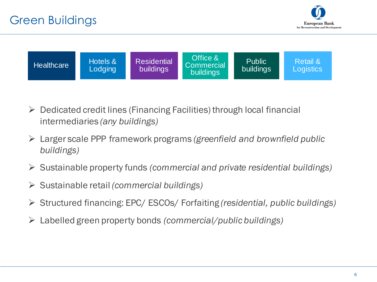



- $\triangleright$  Dedicated credit lines (Financing Facilities) through local financial intermediaries *(any buildings)*
- ➢ Larger scale PPP framework programs *(greenfield and brownfield public buildings)*
- ➢ Sustainable property funds *(commercial and private residential buildings)*
- ➢ Sustainable retail *(commercial buildings)*
- ➢ Structured financing: EPC/ ESCOs/ Forfaiting *(residential, public buildings)*
- ➢ Labelled green property bonds *(commercial/public buildings)*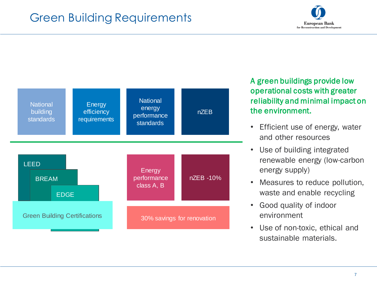### Green Building Requirements





A green buildings provide low operational costs with greater reliability and minimal impact on the environment.

- Efficient use of energy, water and other resources
- Use of building integrated renewable energy (low-carbon energy supply)
- Measures to reduce pollution, waste and enable recycling
- Good quality of indoor environment
- Use of non-toxic, ethical and sustainable materials.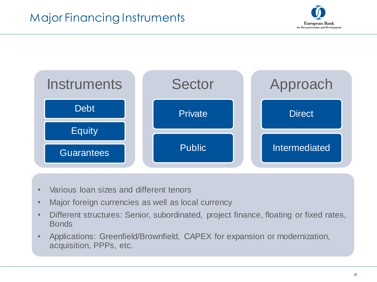



- Various loan sizes and different tenors
- Major foreign currencies as well as local currency
- Different structures: Senior, subordinated, project finance, floating or fixed rates, Bonds
- Applications: Greenfield/Brownfield, CAPEX for expansion or modernization, acquisition, PPPs, etc.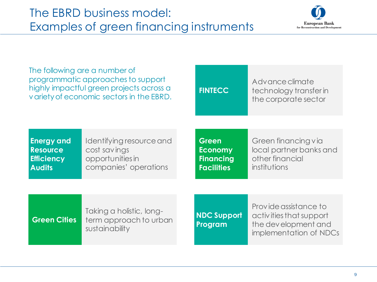

| The following are a number of<br>programmatic approaches to support<br>highly impactful green projects across a<br>variety of economic sectors in the EBRD. |                                                                                       | <b>FINTECC</b>                                                   | Advance climate<br>technology transfer in<br>the corporate sector                                 |
|-------------------------------------------------------------------------------------------------------------------------------------------------------------|---------------------------------------------------------------------------------------|------------------------------------------------------------------|---------------------------------------------------------------------------------------------------|
|                                                                                                                                                             |                                                                                       |                                                                  |                                                                                                   |
| <b>Energy and</b><br><b>Resource</b><br><b>Efficiency</b><br><b>Audits</b>                                                                                  | Identifying resource and<br>cost savings<br>opportunities in<br>companies' operations | Green<br><b>Economy</b><br><b>Financing</b><br><b>Facilities</b> | Green financing via<br>local partner banks and<br>other financial<br>institutions                 |
|                                                                                                                                                             |                                                                                       |                                                                  |                                                                                                   |
| <b>Green Cities</b>                                                                                                                                         | Taking a holistic, long-<br>term approach to urban<br>sustainability                  | <b>NDC Support</b><br>Program                                    | Provide assistance to<br>activities that support<br>the development and<br>implementation of NDCs |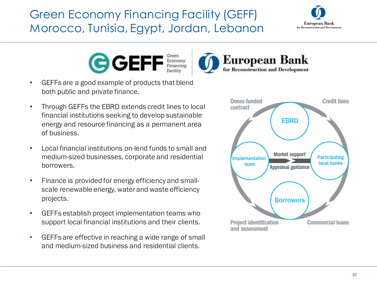# Green Economy Financing Facility (GEFF) Morocco, Tunisia, Egypt, Jordan, Lebanon





- GEFFs are a good example of products that blend both public and private finance.
- Through GEFFs the EBRD extends credit lines to local financial institutions seeking to develop sustainable energy and resource financing as a permanent area of business.
- Local financial institutions on-lend funds to small and medium-sized businesses, corporate and residential borrowers.
- Finance is provided for energy efficiency and smallscale renewable energy, water and waste efficiency projects.
- GEFFs establish project implementation teams who support local financial institutions and their clients.
- GEFFs are effective in reaching a wide range of small and medium-sized business and residential clients.



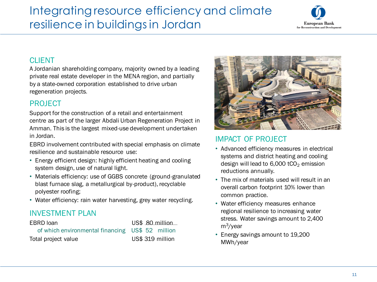## Integrating resource efficiency and climate resilience in buildings in Jordan



#### **CLIENT**

A Jordanian shareholding company, majority owned by a leading private real estate developer in the MENA region, and partially by a state-owned corporation established to drive urban regeneration projects.

### PROJECT

Support for the construction of a retail and entertainment centre as part of the larger Abdali Urban Regeneration Project in Amman. This is the largest mixed-use development undertaken in Jordan.

EBRD involvement contributed with special emphasis on climate resilience and sustainable resource use:

- Energy efficient design: highly efficient heating and cooling system design, use of natural light.
- Materials efficiency: use of GGBS concrete (ground-granulated blast furnace slag, a metallurgical by-product), recyclable polyester roofing;
- Water efficiency: rain water harvesting, grey water recycling.

### INVESTMENT PLAN

| EBRD loan                                        | US\$ 80 million  |
|--------------------------------------------------|------------------|
| of which environmental financing US\$ 52 million |                  |
| Total project value                              | US\$ 319 million |



#### IMPACT OF PROJECT

- Advanced efficiency measures in electrical systems and district heating and cooling design will lead to  $6,000$  tCO<sub>2</sub> emission reductions annually.
- The mix of materials used will result in an overall carbon footprint 10% lower than common practice.
- Water efficiency measures enhance regional resilience to increasing water stress. Water savings amount to 2,400 m<sup>3</sup>/year
- Energy savings amount to 19,200 MWh/year